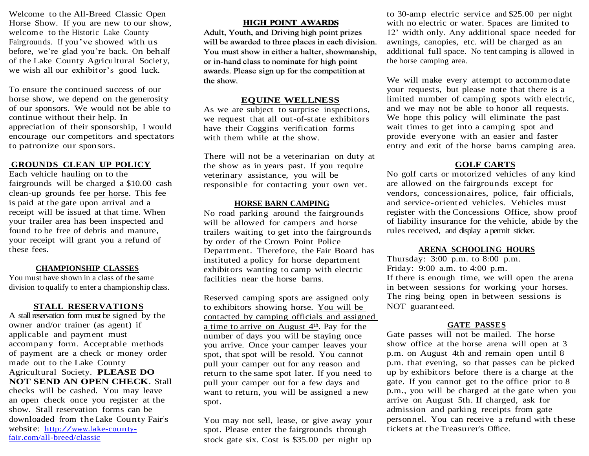Welcome to the All-Breed Classic Open Horse Show. If you are new to our show, welcome to the Historic Lake County Fairgrounds. If you've showed with us before, we're glad you're back. On behalf of the Lake County Agricultural Society, we wish all our exhibitor's good luck.

To ensure the continued success of our horse show, we depend on the generosity of our sponsors. We would not be able to continue without their help. In appreciation of their sponsorship, I would encourage our competitors and spectators to patronize our sponsors.

#### **GROUNDS CLEAN UP POLICY**

Each vehicle hauling on to the fairgrounds will be charged a \$10.00 cash clean-up grounds fee per horse. This fee is paid at the gate upon arrival and a receipt will be issued at that time. When your trailer area has been inspected and found to be free of debris and manure, your receipt will grant you a refund of these fees.

## **CHAMPIONSHIP CLASSES**

You must have shown in a class of the same division to qualify to enter a championship class.

## **STALL RESERVATIONS**

A stall reservation form must be signed by the owner and/or trainer (as agent) if applicable and payment must accompany form. Acceptable methods of payment are a check or money order made out to the Lake County Agricultural Society. **PLEASE DO NOT SEND AN OPEN CHECK**. Stall checks will be cashed. You may leave an open check once you register at the show. Stall reservation forms can be downloaded from the Lake County Fair's website: [http://www.lake-county](http://www.lake-county-fair.com/)[fair.com/](http://www.lake-county-fair.com/)all-breed/classic

#### **HIGH POINT AWARDS**

Adult, Youth, and Driving high point prizes will be awarded to three places in each division. You must show in either a halter, showmanship, or in-hand class to nominate for high point awards. Please sign up for the competition at the show.

#### **EQUINE WELLNESS**

As we are subject to surprise inspections, we request that all out-of-state exhibitors have their Coggins verification forms with them while at the show.

There will not be a veterinarian on duty at the show as in years past. If you require veterinary assistance, you will be responsible for contacting your own vet.

#### **HORSE BARN CAMPING**

No road parking around the fairgrounds will be allowed for campers and horse trailers waiting to get into the fairgrounds by order of the Crown Point Police Department. Therefore, the Fair Board has instituted a policy for horse department exhibitors wanting to camp with electric facilities near the horse barns.

Reserved camping spots are assigned only to exhibitors showing horse. You will be contacted by camping officials and assigned a time to arrive on August 4<sup>th</sup>. Pay for the number of days you will be staying once you arrive. Once your camper leaves your spot, that spot will be resold. You cannot pull your camper out for any reason and return to the same spot later. If you need to pull your camper out for a few days and want to return, you will be assigned a new spot.

You may not sell, lease, or give away your spot. Please enter the fairgrounds through stock gate six. Cost is \$35.00 per night up

to 30-amp electric service and \$25.00 per night with no electric or water. Spaces are limited to 12' width only. Any additional space needed for awnings, canopies, etc. will be charged as an additional full space. No tent camping is allowed in the horse camping area.

We will make every attempt to accommodate your requests, but please note that there is a limited number of camping spots with electric, and we may not be able to honor all requests. We hope this policy will eliminate the past wait times to get into a camping spot and provide everyone with an easier and faster entry and exit of the horse barns camping area.

#### **GOLF CARTS**

No golf carts or motorized vehicles of any kind are allowed on the fairgrounds except for vendors, concessionaires, police, fair officials, and service-oriented vehicles. Vehicles must register with the Concessions Office, show proof of liability insurance for the vehicle, abide by the rules received, and display a permit sticker.

#### **ARENA SCHOOLING HOURS**

Thursday: 3:00 p.m. to 8:00 p.m. Friday: 9:00 a.m. to 4:00 p.m. If there is enough time, we will open the arena in between sessions for working your horses. The ring being open in between sessions is NOT guaranteed.

#### **GATE PASSES**

Gate passes will not be mailed. The horse show office at the horse arena will open at 3 p.m. on August 4th and remain open until 8 p.m. that evening, so that passes can be picked up by exhibitors before there is a charge at the gate. If you cannot get to the office prior to 8 p.m., you will be charged at the gate when you arrive on August 5th. If charged, ask for admission and parking receipts from gate personnel. You can receive a refund with these tickets at the Treasurer's Office.